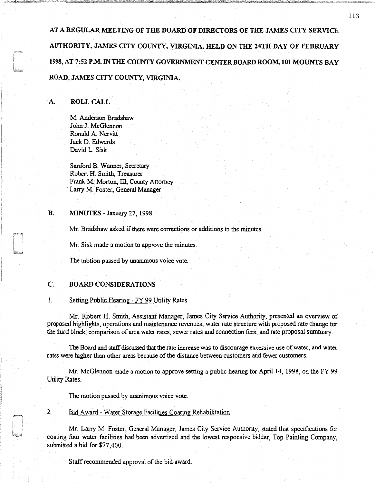AT A REGULAR MEETING OF THE BOARD OF DIRECTORS OF THE JAMES CITY SERVICE AUTHORITY, JAMES CITY COUNTY, VIRGINIA, HELD ON THE 24TH DAY OF FEBRUARY 1998,AT 7:52 PM.INTHE COUNTY GOVERNMENT CENTERBOARD ROOM, 101 MOUNTS BAY ROAD, JAMES CITY COUNTY, VIRGINIA.

# A. ROLL CALL

M. Anderson Bradshaw John J. McGlennon Ronald A. Nervitt Jack D. Edwards David L. Sisk

Sanford B. Wanner, Secretary Robert H. Smith, Treasurer Frank M. Morton, III, County Attorney Larry M. Foster, General Manager

### B. MINUTES - January 27, 1998

Mr. Bradshaw asked if there were corrections or additions to the minutes.

Mr. Sisk made a motion to approve the minutes.

The motion passed by unanimous voice vote.

### C. BOARD CONSIDERATIONS

## 1. Setting Public Hearing - FY 99 Utility Rates

Mr. Robert H. Smith, Assistant Manager, James City Service Authority, presented an overview of proposed highlights, operations and maintenance revenues, water rate structure with proposed rate change for the third block, comparison of area water rates, sewer rates and connection fees, and rate proposal summary.

The Board and staff discussed that the rate increase was to discourage excessive use of water, and water rates were higher than other areas because of the distance between customers and fewer customers.

Mr. McGlennon made a motion to approve setting a public hearing for April 14, 1998, on the FY 99 Utility Rates.

The motion passed by unanimous voice vote.

### 2. Bid Award - Water Storage Facilities Coating Rehabilitation

Mr. Lany M. Foster, General Manager, James City Service Authority, stated that specifications for coating four water facilities had been advertised and the lowest responsive bidder, Top Painting Company, submitted a bid for \$77,400.

Staff recommended approval of the bid award.